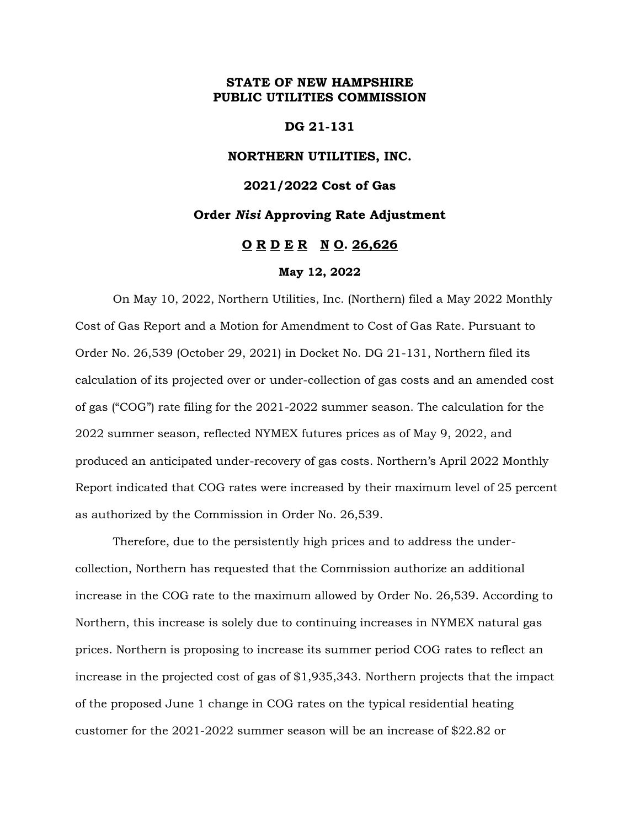## **STATE OF NEW HAMPSHIRE PUBLIC UTILITIES COMMISSION**

## **DG 21-131**

## **NORTHERN UTILITIES, INC.**

## **2021/2022 Cost of Gas**

### **Order** *Nisi* **Approving Rate Adjustment**

## **O R D E R N O. 26,626**

#### **May 12, 2022**

On May 10, 2022, Northern Utilities, Inc. (Northern) filed a May 2022 Monthly Cost of Gas Report and a Motion for Amendment to Cost of Gas Rate. Pursuant to Order No. 26,539 (October 29, 2021) in Docket No. DG 21-131, Northern filed its calculation of its projected over or under-collection of gas costs and an amended cost of gas ("COG") rate filing for the 2021-2022 summer season. The calculation for the 2022 summer season, reflected NYMEX futures prices as of May 9, 2022, and produced an anticipated under-recovery of gas costs. Northern's April 2022 Monthly Report indicated that COG rates were increased by their maximum level of 25 percent as authorized by the Commission in Order No. 26,539.

Therefore, due to the persistently high prices and to address the undercollection, Northern has requested that the Commission authorize an additional increase in the COG rate to the maximum allowed by Order No. 26,539. According to Northern, this increase is solely due to continuing increases in NYMEX natural gas prices. Northern is proposing to increase its summer period COG rates to reflect an increase in the projected cost of gas of \$1,935,343. Northern projects that the impact of the proposed June 1 change in COG rates on the typical residential heating customer for the 2021-2022 summer season will be an increase of \$22.82 or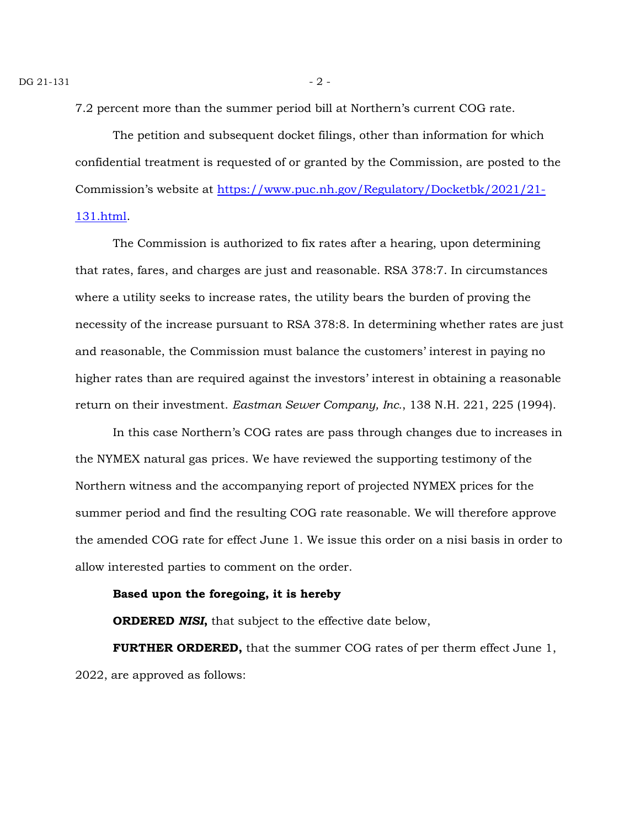7.2 percent more than the summer period bill at Northern's current COG rate.

The petition and subsequent docket filings, other than information for which confidential treatment is requested of or granted by the Commission, are posted to the Commission's website at [https://www.puc.nh.gov/Regulatory/Docketbk/2021/21-](https://www.puc.nh.gov/Regulatory/Docketbk/2021/21-131.html) [131.html.](https://www.puc.nh.gov/Regulatory/Docketbk/2021/21-131.html)

The Commission is authorized to fix rates after a hearing, upon determining that rates, fares, and charges are just and reasonable. RSA 378:7. In circumstances where a utility seeks to increase rates, the utility bears the burden of proving the necessity of the increase pursuant to RSA 378:8. In determining whether rates are just and reasonable, the Commission must balance the customers' interest in paying no higher rates than are required against the investors' interest in obtaining a reasonable return on their investment. *Eastman Sewer Company, Inc.*, 138 N.H. 221, 225 (1994).

In this case Northern's COG rates are pass through changes due to increases in the NYMEX natural gas prices. We have reviewed the supporting testimony of the Northern witness and the accompanying report of projected NYMEX prices for the summer period and find the resulting COG rate reasonable. We will therefore approve the amended COG rate for effect June 1. We issue this order on a nisi basis in order to allow interested parties to comment on the order.

#### **Based upon the foregoing, it is hereby**

**ORDERED** *NISI***,** that subject to the effective date below,

**FURTHER ORDERED,** that the summer COG rates of per therm effect June 1, 2022, are approved as follows: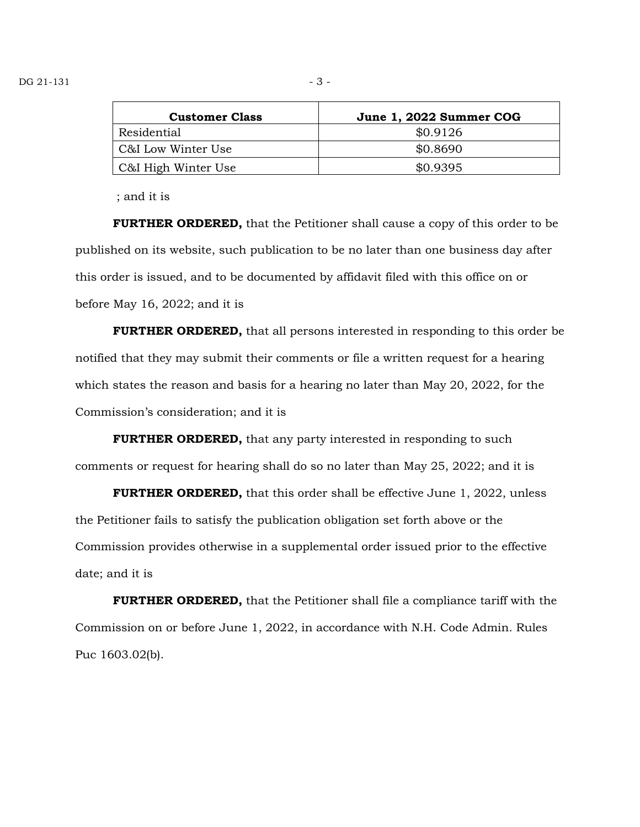| <b>Customer Class</b> | June 1, 2022 Summer COG |
|-----------------------|-------------------------|
| Residential           | \$0.9126                |
| C&I Low Winter Use    | \$0.8690                |
| C&I High Winter Use   | \$0.9395                |

; and it is

**FURTHER ORDERED,** that the Petitioner shall cause a copy of this order to be published on its website, such publication to be no later than one business day after this order is issued, and to be documented by affidavit filed with this office on or before May 16, 2022; and it is

**FURTHER ORDERED,** that all persons interested in responding to this order be notified that they may submit their comments or file a written request for a hearing which states the reason and basis for a hearing no later than May 20, 2022, for the Commission's consideration; and it is

**FURTHER ORDERED,** that any party interested in responding to such comments or request for hearing shall do so no later than May 25, 2022; and it is

**FURTHER ORDERED,** that this order shall be effective June 1, 2022, unless the Petitioner fails to satisfy the publication obligation set forth above or the Commission provides otherwise in a supplemental order issued prior to the effective date; and it is

**FURTHER ORDERED,** that the Petitioner shall file a compliance tariff with the Commission on or before June 1, 2022, in accordance with N.H. Code Admin. Rules Puc 1603.02(b).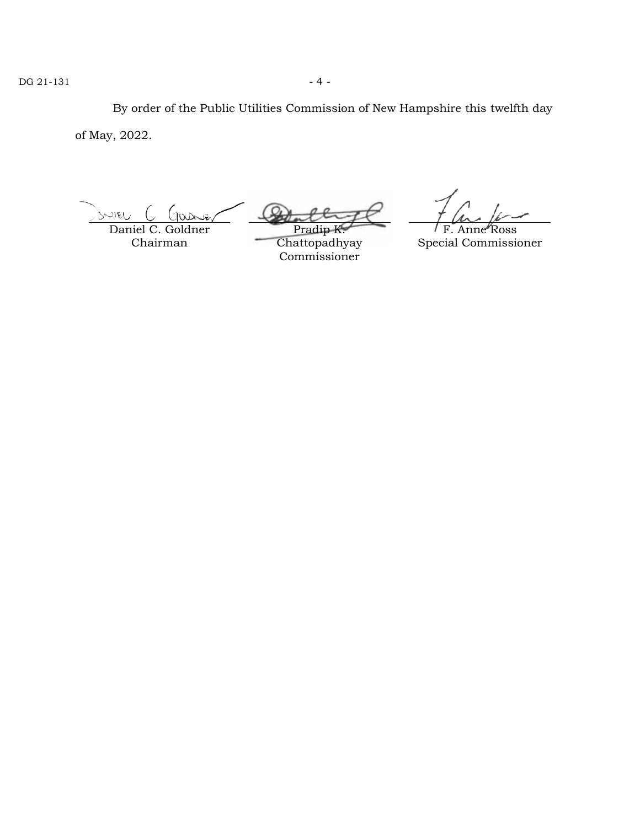By order of the Public Utilities Commission of New Hampshire this twelfth day of May, 2022.

SNIEU  $(nn\pi)$ Daniel C. Goldner

Chairman

Pra

Chattopadhyay Commissioner

F. Anne Ross

Special Commissioner